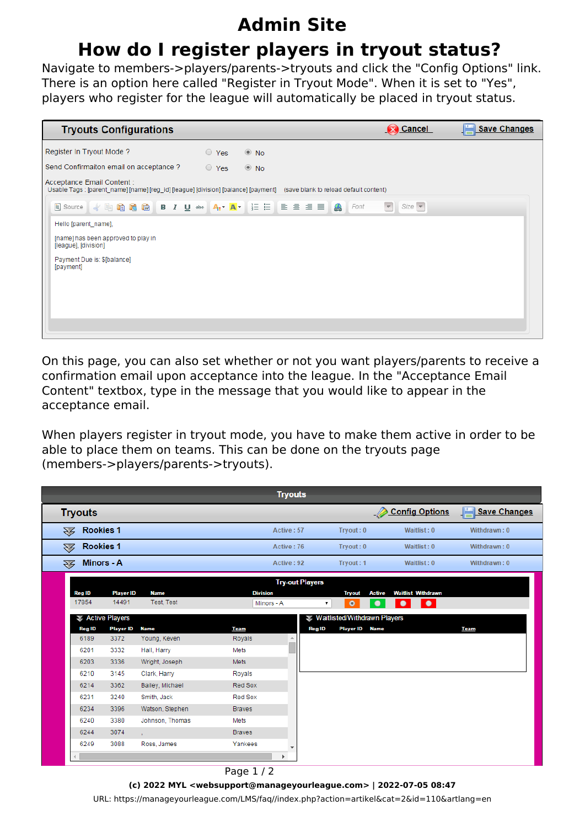## **Admin Site**

## **How do I register players in tryout status?**

Navigate to members->players/parents->tryouts and click the "Config Options" link. There is an option here called "Register in Tryout Mode". When it is set to "Yes", players who register for the league will automatically be placed in tryout status.



On this page, you can also set whether or not you want players/parents to receive a confirmation email upon acceptance into the league. In the "Acceptance Email Content" textbox, type in the message that you would like to appear in the acceptance email.

When players register in tryout mode, you have to make them active in order to be able to place them on teams. This can be done on the tryouts page (members->players/parents->tryouts).

| <b>Tryouts</b>                     |                  |                 |                 |                          |                                        |                           |                     |
|------------------------------------|------------------|-----------------|-----------------|--------------------------|----------------------------------------|---------------------------|---------------------|
| <b>Tryouts</b>                     |                  |                 |                 |                          |                                        | <b>Config Options</b>     | <b>Save Changes</b> |
| Rookies 1<br>$\mathcal{F}$         |                  |                 | Active: 57      |                          | Tryout: 0                              | Waitlist: 0               | Withdrawn: 0        |
| Rookies 1<br>经                     |                  |                 | Active: 76      |                          | Tryout: 0                              | Waitlist: 0               | Withdrawn: 0        |
| <b>Minors - A</b><br>$\mathcal{Z}$ |                  |                 | Active: 92      |                          | Tryout: 1                              | Waitlist: 0               | Withdrawn: 0        |
|                                    |                  |                 |                 | <b>Try-out Players</b>   |                                        |                           |                     |
| <b>Reg ID</b>                      | <b>Player ID</b> | <b>Name</b>     | <b>Division</b> |                          | <b>Active</b><br><b>Tryout</b>         | <b>Waitlist Withdrawn</b> |                     |
| 17854                              | 14491            | Test, Test      | Minors - A      |                          | $\bullet$<br>$\bullet$<br>۷.           | ٠<br>٠                    |                     |
|                                    | Active Players   |                 |                 |                          | ₹ Waitlisted/Withdrawn Players         |                           |                     |
| <b>Reg ID</b>                      | <b>Player ID</b> | <b>Name</b>     | <b>Team</b>     |                          | <b>Player ID</b> Name<br><b>Reg ID</b> |                           | <b>Team</b>         |
| 6189                               | 3372             | Young, Keven    | Royals          | $\Delta$                 |                                        |                           |                     |
| 6201                               | 3332             | Hall, Harry     | Mets            |                          |                                        |                           |                     |
| 6203                               | 3336             | Wright, Joseph  | <b>Mets</b>     |                          |                                        |                           |                     |
| 6210                               | 3145             | Clark, Harry    | Royals          |                          |                                        |                           |                     |
| 6214                               | 3362             | Bailey, Michael | Red Sox         |                          |                                        |                           |                     |
| 6231                               | 3240             | Smith, Jack     | Red Sox         |                          |                                        |                           |                     |
| 6234                               | 3396             | Watson, Stephen | <b>Braves</b>   |                          |                                        |                           |                     |
| 6240                               | 3380             | Johnson, Thomas | Mets            |                          |                                        |                           |                     |
| 6244                               | 3074             | ×.              | <b>Braves</b>   |                          |                                        |                           |                     |
| 6249                               | 3088             | Ross, James     | Yankees         |                          |                                        |                           |                     |
|                                    |                  |                 |                 | $\overline{\phantom{a}}$ |                                        |                           |                     |

Page 1 / 2 **(c) 2022 MYL <websupport@manageyourleague.com> | 2022-07-05 08:47** [URL: https://manageyourleague.com/LMS/faq//index.php?action=artikel&cat=2&id=110&artlang=en](https://manageyourleague.com/LMS/faq//index.php?action=artikel&cat=2&id=110&artlang=en)